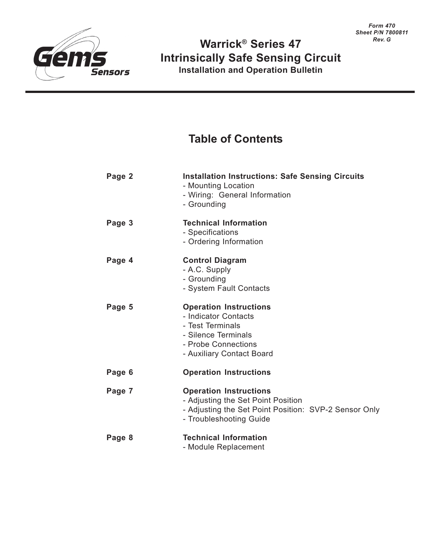

## **Warrick® Series 47 Intrinsically Safe Sensing Circuit Installation and Operation Bulletin**

# **Table of Contents**

| Page 2 | <b>Installation Instructions: Safe Sensing Circuits</b><br>- Mounting Location<br>- Wiring: General Information<br>- Grounding                          |
|--------|---------------------------------------------------------------------------------------------------------------------------------------------------------|
| Page 3 | <b>Technical Information</b><br>- Specifications<br>- Ordering Information                                                                              |
| Page 4 | <b>Control Diagram</b><br>- A.C. Supply<br>- Grounding<br>- System Fault Contacts                                                                       |
| Page 5 | <b>Operation Instructions</b><br>- Indicator Contacts<br>- Test Terminals<br>- Silence Terminals<br>- Probe Connections<br>- Auxiliary Contact Board    |
| Page 6 | <b>Operation Instructions</b>                                                                                                                           |
| Page 7 | <b>Operation Instructions</b><br>- Adjusting the Set Point Position<br>- Adjusting the Set Point Position: SVP-2 Sensor Only<br>- Troubleshooting Guide |
| Page 8 | <b>Technical Information</b><br>- Module Replacement                                                                                                    |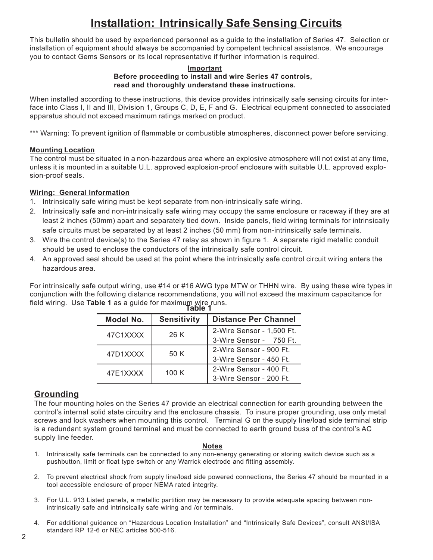# **Installation: Intrinsically Safe Sensing Circuits**

This bulletin should be used by experienced personnel as a guide to the installation of Series 47. Selection or installation of equipment should always be accompanied by competent technical assistance. We encourage you to contact Gems Sensors or its local representative if further information is required.

#### **Important Before proceeding to install and wire Series 47 controls, read and thoroughly understand these instructions.**

When installed according to these instructions, this device provides intrinsically safe sensing circuits for interface into Class I, II and III, Division 1, Groups C, D, E, F and G. Electrical equipment connected to associated apparatus should not exceed maximum ratings marked on product.

\*\*\* Warning: To prevent ignition of flammable or combustible atmospheres, disconnect power before servicing.

#### **Mounting Location**

The control must be situated in a non-hazardous area where an explosive atmosphere will not exist at any time, unless it is mounted in a suitable U.L. approved explosion-proof enclosure with suitable U.L. approved explosion-proof seals.

### **Wiring: General Information**

- 1. Intrinsically safe wiring must be kept separate from non-intrinsically safe wiring.
- 2. Intrinsically safe and non-intrinsically safe wiring may occupy the same enclosure or raceway if they are at least 2 inches (50mm) apart and separately tied down. Inside panels, field wiring terminals for intrinsically safe circuits must be separated by at least 2 inches (50 mm) from non-intrinsically safe terminals.
- 3. Wire the control device(s) to the Series 47 relay as shown in figure 1. A separate rigid metallic conduit should be used to enclose the conductors of the intrinsically safe control circuit.
- 4. An approved seal should be used at the point where the intrinsically safe control circuit wiring enters the hazardous area.

For intrinsically safe output wiring, use #14 or #16 AWG type MTW or THHN wire. By using these wire types in conjunction with the following distance recommendations, you will not exceed the maximum capacitance for field wiring. Use **Table 1** as a guide for maximum wire runs. **Table 1**

| Model No. | <b>Sensitivity</b> | <b>Distance Per Channel</b> |  |  |  |  |
|-----------|--------------------|-----------------------------|--|--|--|--|
| 47C1XXXX  | 26 K               | 2-Wire Sensor - 1,500 Ft.   |  |  |  |  |
|           |                    | 3-Wire Sensor - 750 Ft.     |  |  |  |  |
| 47D1XXXX  | 50 K               | 2-Wire Sensor - 900 Ft.     |  |  |  |  |
|           |                    | 3-Wire Sensor - 450 Ft.     |  |  |  |  |
| 47E1XXXX  | 100K               | 2-Wire Sensor - 400 Ft.     |  |  |  |  |
|           |                    | 3-Wire Sensor - 200 Ft.     |  |  |  |  |

## **Grounding**

The four mounting holes on the Series 47 provide an electrical connection for earth grounding between the control's internal solid state circuitry and the enclosure chassis. To insure proper grounding, use only metal screws and lock washers when mounting this control. Terminal G on the supply line/load side terminal strip is a redundant system ground terminal and must be connected to earth ground buss of the control's AC supply line feeder.

#### **Notes**

- 1. Intrinsically safe terminals can be connected to any non-energy generating or storing switch device such as a pushbutton, limit or float type switch or any Warrick electrode and fitting assembly.
- 2. To prevent electrical shock from supply line/load side powered connections, the Series 47 should be mounted in a tool accessible enclosure of proper NEMA rated integrity.
- 3. For U.L. 913 Listed panels, a metallic partition may be necessary to provide adequate spacing between nonintrinsically safe and intrinsically safe wiring and /or terminals.
- 4. For additional guidance on "Hazardous Location Installation" and "Intrinsically Safe Devices", consult ANSI/ISA standard RP 12-6 or NEC articles 500-516.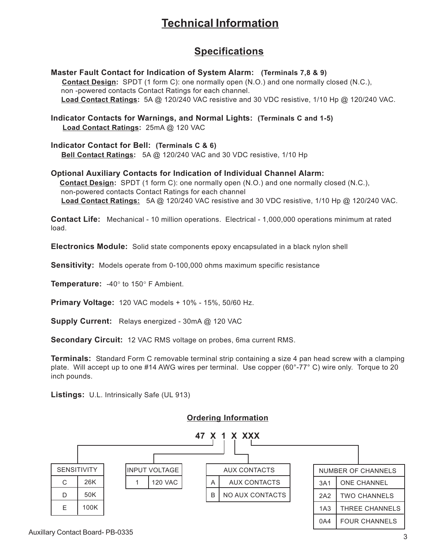# **Technical Information**

## **Specifications**

**Master Fault Contact for Indication of System Alarm: (Terminals 7,8 & 9) Contact Design:** SPDT (1 form C): one normally open (N.O.) and one normally closed (N.C.), non -powered contacts Contact Ratings for each channel. **Load Contact Ratings:** 5A @ 120/240 VAC resistive and 30 VDC resistive, 1/10 Hp @ 120/240 VAC. **Indicator Contacts for Warnings, and Normal Lights: (Terminals C and 1-5) Load Contact Ratings:** 25mA @ 120 VAC **Indicator Contact for Bell: (Terminals C & 6) Bell Contact Ratings:** 5A @ 120/240 VAC and 30 VDC resistive, 1/10 Hp **Optional Auxiliary Contacts for Indication of Individual Channel Alarm: Contact Design:** SPDT (1 form C): one normally open (N.O.) and one normally closed (N.C.), non-powered contacts Contact Ratings for each channel  **Load Contact Ratings:** 5A @ 120/240 VAC resistive and 30 VDC resistive, 1/10 Hp @ 120/240 VAC.

**Contact Life:** Mechanical - 10 million operations. Electrical - 1,000,000 operations minimum at rated load.

**Electronics Module:** Solid state components epoxy encapsulated in a black nylon shell

**Sensitivity:** Models operate from 0-100,000 ohms maximum specific resistance

**Temperature:** -40° to 150° F Ambient.

**Primary Voltage:** 120 VAC models + 10% - 15%, 50/60 Hz.

**Supply Current:** Relays energized - 30mA @ 120 VAC

**Secondary Circuit:** 12 VAC RMS voltage on probes, 6ma current RMS.

**Terminals:** Standard Form C removable terminal strip containing a size 4 pan head screw with a clamping plate. Will accept up to one #14 AWG wires per terminal. Use copper (60°-77° C) wire only. Torque to 20 inch pounds.

**Listings:** U.L. Intrinsically Safe (UL 913)



## **Ordering Information**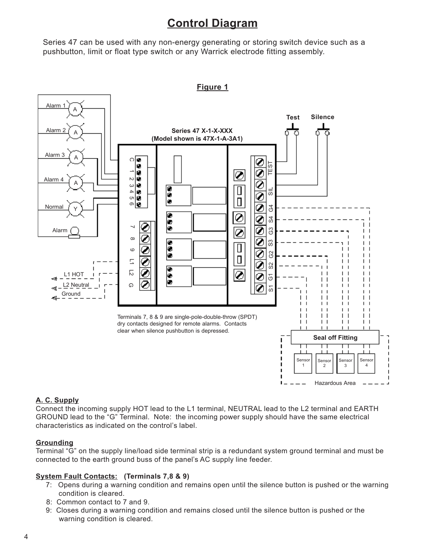## **Control Diagram**

Series 47 can be used with any non-energy generating or storing switch device such as a pushbutton, limit or float type switch or any Warrick electrode fitting assembly.



**Figure 1**

#### **A. C. Supply**

Connect the incoming supply HOT lead to the L1 terminal, NEUTRAL lead to the L2 terminal and EARTH GROUND lead to the "G" Terminal. Note: the incoming power supply should have the same electrical characteristics as indicated on the control's label.

#### **Grounding**

Terminal "G" on the supply line/load side terminal strip is a redundant system ground terminal and must be connected to the earth ground buss of the panel's AC supply line feeder.

#### **System Fault Contacts: (Terminals 7,8 & 9)**

- 7: Opens during a warning condition and remains open until the silence button is pushed or the warning condition is cleared.
- 8: Common contact to 7 and 9.
- 9: Closes during a warning condition and remains closed until the silence button is pushed or the warning condition is cleared.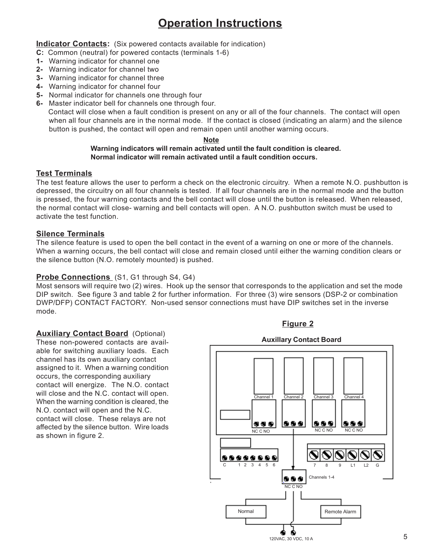# **Operation Instructions**

**Indicator Contacts:** (Six powered contacts available for indication)

- **C:** Common (neutral) for powered contacts (terminals 1-6)
- **1-** Warning indicator for channel one
- **2-** Warning indicator for channel two
- **3-** Warning indicator for channel three
- **4-** Warning indicator for channel four
- **5-** Normal indicator for channels one through four
- **6-** Master indicator bell for channels one through four.

 Contact will close when a fault condition is present on any or all of the four channels. The contact will open when all four channels are in the normal mode. If the contact is closed (indicating an alarm) and the silence button is pushed, the contact will open and remain open until another warning occurs.

#### **Note**

#### **Warning indicators will remain activated until the fault condition is cleared. Normal indicator will remain activated until a fault condition occurs.**

#### **Test Terminals**

The test feature allows the user to perform a check on the electronic circuitry. When a remote N.O. pushbutton is depressed, the circuitry on all four channels is tested. If all four channels are in the normal mode and the button is pressed, the four warning contacts and the bell contact will close until the button is released. When released, the normal contact will close- warning and bell contacts will open. A N.O. pushbutton switch must be used to activate the test function.

#### **Silence Terminals**

The silence feature is used to open the bell contact in the event of a warning on one or more of the channels. When a warning occurs, the bell contact will close and remain closed until either the warning condition clears or the silence button (N.O. remotely mounted) is pushed.

#### **Probe Connections** (S1, G1 through S4, G4)

Most sensors will require two (2) wires. Hook up the sensor that corresponds to the application and set the mode DIP switch. See figure 3 and table 2 for further information. For three (3) wire sensors (DSP-2 or combination DWP/DFP) CONTACT FACTORY. Non-used sensor connections must have DIP switches set in the inverse mode.

#### **Auxiliary Contact Board** (Optional)

These non-powered contacts are available for switching auxiliary loads. Each channel has its own auxiliary contact assigned to it. When a warning condition occurs, the corresponding auxiliary contact will energize. The N.O. contact will close and the N.C. contact will open. When the warning condition is cleared, the N.O. contact will open and the N.C. contact will close. These relays are not affected by the silence button. Wire loads as shown in figure 2.

## **Auxillary Contact Board**

**Figure 2**

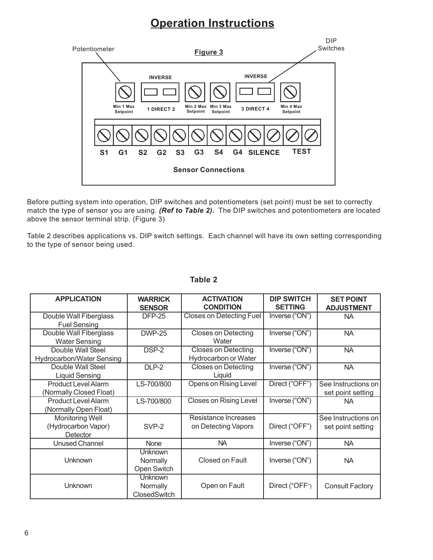## **Operation Instructions**



Before putting system into operation, DIP switches and potentiometers (set point) must be set to correctly match the type of sensor you are using. *(Ref to Table 2).* The DIP switches and potentiometers are located above the sensor terminal strip. (Figure 3)

Table 2 describes applications vs. DIP switch settings. Each channel will have its own setting corresponding to the type of sensor being used.

| <b>APPLICATION</b>                                    | <b>WARRICK</b><br><b>SENSOR</b>     | <b>ACTIVATION</b><br><b>CONDITION</b>              | <b>DIP SWITCH</b><br><b>SETTING</b> | <b>SET POINT</b><br><b>ADJUSTMENT</b>    |
|-------------------------------------------------------|-------------------------------------|----------------------------------------------------|-------------------------------------|------------------------------------------|
| Double Wall Fiberglass<br><b>Fuel Sensing</b>         | <b>DFP-25</b>                       | <b>Closes on Detecting Fuel</b>                    | Inverse ("ON")                      | <b>NA</b>                                |
| Double Wall Fiberglass<br><b>Water Sensing</b>        | <b>DWP-25</b>                       | <b>Closes on Detecting</b><br>Water                | Inverse ("ON")                      | <b>NA</b>                                |
| Double Wall Steel<br>Hydrocarbon/Water Sensing        | DSP-2                               | <b>Closes on Detecting</b><br>Hydrocarbon or Water | Inverse ("ON")                      | <b>NA</b>                                |
| Double Wall Steel<br><b>Liquid Sensing</b>            | DLP-2                               | <b>Closes on Detecting</b><br>Liquid               | Inverse ("ON")                      | <b>NA</b>                                |
| <b>Product Level Alarm</b><br>(Normally Closed Float) | LS-700/800                          | Opens on Rising Level                              | Direct ("OFF")                      | See Instructions on<br>set point setting |
| <b>Product Level Alarm</b><br>(Normally Open Float)   | LS-700/800                          | <b>Closes on Rising Level</b>                      | Inverse ("ON")                      | NA.                                      |
| Monitoring Well<br>(Hydrocarbon Vapor)<br>Detector    | SVP-2                               | Resistance Increases<br>on Detecting Vapors        | Direct ("OFF")                      | See Instructions on<br>set point setting |
| <b>Unused Channel</b>                                 | <b>None</b>                         | NA.                                                | Inverse ("ON")                      | <b>NA</b>                                |
| <b>Unknown</b>                                        | Unknown<br>Normally<br>Open Switch  | Closed on Fault                                    | Inverse ("ON")                      | <b>NA</b>                                |
| Unknown                                               | Unknown<br>Normally<br>ClosedSwitch | Open on Fault                                      | Direct ("OFF")                      | <b>Consult Factory</b>                   |

#### **Table 2**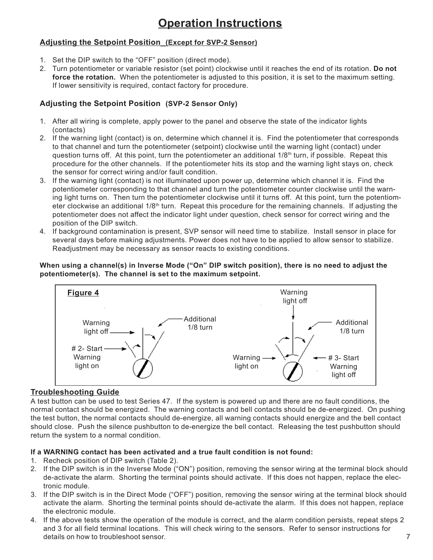# **Operation Instructions**

### **Adjusting the Setpoint Position (Except for SVP-2 Sensor)**

- 1. Set the DIP switch to the "OFF" position (direct mode).
- 2. Turn potentiometer or variable resistor (set point) clockwise until it reaches the end of its rotation. **Do not force the rotation.** When the potentiometer is adjusted to this position, it is set to the maximum setting. If lower sensitivity is required, contact factory for procedure.

### **Adjusting the Setpoint Position (SVP-2 Sensor Only)**

- 1. After all wiring is complete, apply power to the panel and observe the state of the indicator lights (contacts)
- 2. If the warning light (contact) is on, determine which channel it is. Find the potentiometer that corresponds to that channel and turn the potentiometer (setpoint) clockwise until the warning light (contact) under question turns off. At this point, turn the potentiometer an additional  $1/8<sup>th</sup>$  turn, if possible. Repeat this procedure for the other channels. If the potentiometer hits its stop and the warning light stays on, check the sensor for correct wiring and/or fault condition.
- 3. If the warning light (contact) is not illuminated upon power up, determine which channel it is. Find the potentiometer corresponding to that channel and turn the potentiometer counter clockwise until the warning light turns on. Then turn the potentiometer clockwise until it turns off. At this point, turn the potentiometer clockwise an additional 1/8<sup>th</sup> turn. Repeat this procedure for the remaining channels. If adjusting the potentiometer does not affect the indicator light under question, check sensor for correct wiring and the position of the DIP switch.
- 4. If background contamination is present, SVP sensor will need time to stabilize. Install sensor in place for several days before making adjustments. Power does not have to be applied to allow sensor to stabilize. Readjustment may be necessary as sensor reacts to existing conditions.

#### **When using a channel(s) in Inverse Mode ("On" DIP switch position), there is no need to adjust the potentiometer(s). The channel is set to the maximum setpoint.**



#### **Troubleshooting Guide**

A test button can be used to test Series 47. If the system is powered up and there are no fault conditions, the normal contact should be energized. The warning contacts and bell contacts should be de-energized. On pushing the test button, the normal contacts should de-energize, all warning contacts should energize and the bell contact should close. Push the silence pushbutton to de-energize the bell contact. Releasing the test pushbutton should return the system to a normal condition.

#### **If a WARNING contact has been activated and a true fault condition is not found:**

- 1. Recheck position of DIP switch (Table 2).
- 2. If the DIP switch is in the Inverse Mode ("ON") position, removing the sensor wiring at the terminal block should de-activate the alarm. Shorting the terminal points should activate. If this does not happen, replace the electronic module.
- 3. If the DIP switch is in the Direct Mode ("OFF") position, removing the sensor wiring at the terminal block should activate the alarm. Shorting the terminal points should de-activate the alarm. If this does not happen, replace the electronic module.
- 4. If the above tests show the operation of the module is correct, and the alarm condition persists, repeat steps 2 and 3 for all field terminal locations. This will check wiring to the sensors. Refer to sensor instructions for details on how to troubleshoot sensor.